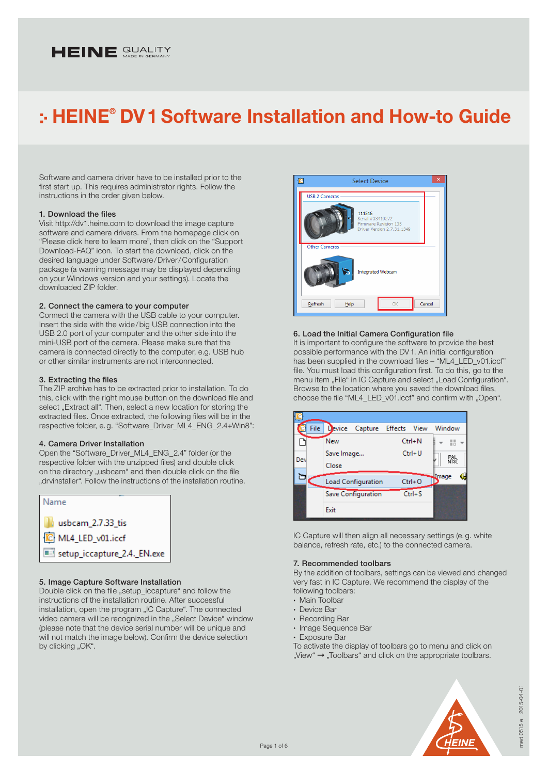# HEINE **QUALITY**

# HEINE® DV1 Software Installation and How-to Guide

Software and camera driver have to be installed prior to the first start up. This requires administrator rights. Follow the instructions in the order given below.

#### 1. Download the files

Visit http://dv1.heine.com to download the image capture software and camera drivers. From the homepage click on "Please click here to learn more", then click on the "Support Download-FAQ" icon. To start the download, click on the desired language under Software/Driver/Configuration package (a warning message may be displayed depending on your Windows version and your settings). Locate the downloaded ZIP folder.

# 2. Connect the camera to your computer

Connect the camera with the USB cable to your computer. Insert the side with the wide/big USB connection into the USB 2.0 port of your computer and the other side into the mini-USB port of the camera. Please make sure that the camera is connected directly to the computer, e.g. USB hub or other similar instruments are not interconnected.

#### 3. Extracting the files

The ZIP archive has to be extracted prior to installation. To do this, click with the right mouse button on the download file and select "Extract all". Then, select a new location for storing the extracted files. Once extracted, the following files will be in the respective folder, e.g. "Software\_Driver\_ML4\_ENG\_2.4+Win8":

#### 4. Camera Driver Installation

Open the "Software\_Driver\_ML4\_ENG\_2.4" folder (or the respective folder with the unzipped files) and double click on the directory "usbcam" and then double click on the file "drvinstaller". Follow the instructions of the installation routine.



# 5. Image Capture Software Installation

Double click on the file "setup\_iccapture" and follow the instructions of the installation routine. After successful installation, open the program "IC Capture". The connected video camera will be recognized in the "Select Device" window (please note that the device serial number will be unique and will not match the image below). Confirm the device selection by clicking "OK".



# 6. Load the Initial Camera Configuration file

It is important to configure the software to provide the best possible performance with the DV1. An initial configuration has been supplied in the download files – "ML4\_LED\_v01.iccf" file. You must load this configuration first. To do this, go to the menu item "File" in IC Capture and select "Load Configuration". Browse to the location where you saved the download files, choose the file "ML4\_LED\_v01.iccf" and confirm with "Open".

|     | File |            | Device Capture Effects View |          |            | Window |            |
|-----|------|------------|-----------------------------|----------|------------|--------|------------|
|     |      | New        |                             |          | $Ctrl + N$ |        | H          |
| Dev |      | Save Image |                             | $Ctrl+U$ |            |        | R純<br>Nfsc |
|     |      | Close      |                             |          |            |        |            |
| ⋍   |      |            | <b>Load Configuration</b>   |          | $Ctrl + O$ | Image  |            |
|     |      |            | Save Configuration          |          | $Ctrl + S$ |        |            |
|     |      | Exit       |                             |          |            |        |            |

IC Capture will then align all necessary settings (e.g. white balance, refresh rate, etc.) to the connected camera.

#### 7. Recommended toolbars

By the addition of toolbars, settings can be viewed and changed very fast in IC Capture. We recommend the display of the following toolbars:

- · Main Toolbar
- · Device Bar
- · Recording Bar
- · Image Sequence Bar
- · Exposure Bar
- To activate the display of toolbars go to menu and click on  $W$ iew"  $\rightarrow$  . Toolbars" and click on the appropriate toolbars.

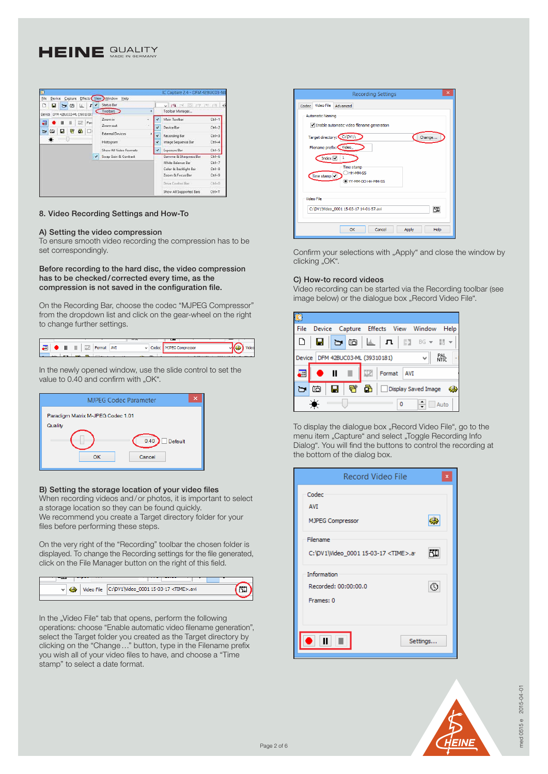# HEINE SUALITY



### 8. Video Recording Settings and How-To

#### A) Setting the video compression

To ensure smooth video recording the compression has to be set correspondingly.

Before recording to the hard disc, the video compression has to be checked/corrected every time, as the compression is not saved in the configuration file.

On the Recording Bar, choose the codec "MJPEG Compressor" from the dropdown list and click on the gear-wheel on the right to change further settings.



In the newly opened window, use the slide control to set the value to 0.40 and confirm with "OK".

| <b>MJPEG Codec Parameter</b><br>x                                               |  |  |  |  |
|---------------------------------------------------------------------------------|--|--|--|--|
| Paradigm Matrix M-JPEG Codec 1.01<br>Quality<br>0.40<br>Default<br>Cancel<br>OK |  |  |  |  |

### B) Setting the storage location of your video files

When recording videos and/or photos, it is important to select a storage location so they can be found quickly. We recommend you create a Target directory folder for your files before performing these steps.

On the very right of the "Recording" toolbar the chosen folder is displayed. To change the Recording settings for the file generated, click on the File Manager button on the right of this field.

| v | Video File C:\DV1\Video_0001 15-03-17 <time>.avi</time> |  |
|---|---------------------------------------------------------|--|
|   |                                                         |  |
|   |                                                         |  |

In the "Video File" tab that opens, perform the following operations: choose "Enable automatic video filename generation", select the Target folder you created as the Target directory by clicking on the "Change…" button, type in the Filename prefix you wish all of your video files to have, and choose a "Time stamp" to select a date format.

| ×<br><b>Recording Settings</b>                                  |  |  |  |  |
|-----------------------------------------------------------------|--|--|--|--|
| Video File Advanced<br>Codec                                    |  |  |  |  |
| <b>Automatic Naming</b>                                         |  |  |  |  |
| Enable automatic video filename generation                      |  |  |  |  |
| Target directory: C:\DV1\<br>Change                             |  |  |  |  |
| Filename prefix: Video_                                         |  |  |  |  |
| Index $\overline{\smash{\checkmark}}$                           |  |  |  |  |
| Time stamp<br>HH-MM-SS<br>Time stamp V<br>(e) YY-MM-DD HH-MM-SS |  |  |  |  |
| <b>Video File</b>                                               |  |  |  |  |
| 間<br>C:\DV1\Video 0001 15-03-17 14-01-57.avi                    |  |  |  |  |
| Cancel<br>OK<br>Apply<br>Help                                   |  |  |  |  |

Confirm your selections with "Apply" and close the window by clicking "OK".

# C) How-to record videos

Video recording can be started via the Recording toolbar (see image below) or the dialogue box "Record Video File".

| File   |                               |                          |                           |        | Device Capture Effects View Window |     |                                                                | Help        |
|--------|-------------------------------|--------------------------|---------------------------|--------|------------------------------------|-----|----------------------------------------------------------------|-------------|
|        | $\blacksquare$ $\blacksquare$ |                          | $\blacksquare$            |        | $\mathbf{L}$   $\mathbf{n}$        |     | $\frac{35}{22}$ BG $\rightarrow$ $\frac{11}{10}$ $\rightarrow$ |             |
| Device |                               |                          | DFM 42BUC03-ML (39310181) |        |                                    |     | v                                                              | PAL<br>NTSC |
| 语      |                               | $\bullet$ $\blacksquare$ |                           | $\Box$ | Format                             | AVI |                                                                |             |
|        | tò                            | П                        | 臂                         | ā      | Display Saved Image                |     |                                                                | -65         |
|        | O<br>Auto                     |                          |                           |        |                                    |     |                                                                |             |

To display the dialogue box "Record Video File", go to the menu item "Capture" and select "Toggle Recording Info Dialog". You will find the buttons to control the recording at the bottom of the dialog box.

| Record Video File<br>x                                 |
|--------------------------------------------------------|
| Codec<br><b>AVI</b><br>MJPEG Compressor                |
| Filename<br>C:\DV1\Video_0001 15-03-17 <time>.a</time> |
| Information<br>Recorded: 00:00:00.0<br>ξŲ<br>Frames: 0 |
| Settings                                               |

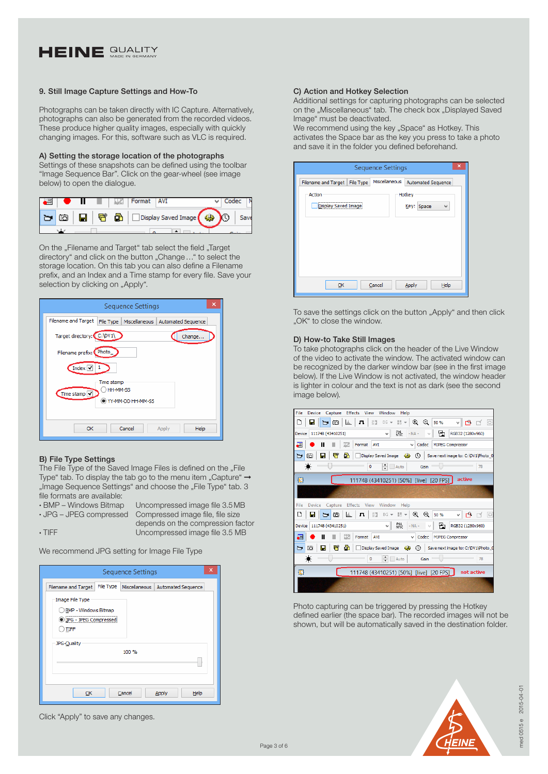# HEINE SUALITY

# 9. Still Image Capture Settings and How-To

Photographs can be taken directly with IC Capture. Alternatively, photographs can also be generated from the recorded videos. These produce higher quality images, especially with quickly changing images. For this, software such as VLC is required.

# A) Setting the storage location of the photographs

Settings of these snapshots can be defined using the toolbar "Image Sequence Bar". Click on the gear-wheel (see image below) to open the dialogue.

|  |                                                                         | 120 | Format | $\sim$ 1 AV1 |     |  |
|--|-------------------------------------------------------------------------|-----|--------|--------------|-----|--|
|  | $\overline{\mathbf{G}}$ $\overline{\mathbf{H}}$ $\overline{\mathbf{G}}$ |     |        |              | Y0. |  |
|  |                                                                         |     |        |              |     |  |

On the "Filename and Target" tab select the field "Target directory" and click on the button "Change..." to select the storage location. On this tab you can also define a Filename prefix, and an Index and a Time stamp for every file. Save your selection by clicking on "Apply".

| Sequence Settings                                                              |
|--------------------------------------------------------------------------------|
| <b>Filename and Target</b><br>Miscellaneous<br>Automated Sequence<br>File Type |
| Target directory: C:\DV1\<br>Change                                            |
| Filename prefix: Photo_                                                        |
| Index $\overline{\smash{\checkmark}}$<br>1                                     |
| Time stamp<br>HH-MM-SS<br>Time stamp $\sqrt{}$<br>YY-MM-DD HH-MM-SS            |
| OK<br>Cancel<br>Help<br>Apply                                                  |

# B) File Type Settings

The File Type of the Saved Image Files is defined on the "File Type" tab. To display the tab go to the menu item "Capture"  $\rightarrow$ "Image Sequence Settings" and choose the "File Type" tab. 3 file formats are available:

· BMP – Windows Bitmap Uncompressed image file 3.5MB · JPG – JPEG compressed Compressed image file, file size depends on the compression factor

• TIFF Uncompressed image file 3.5 MB

We recommend JPG setting for Image File Type

|                                                                                    | <b>Sequence Settings</b> |                           |  |  |  |
|------------------------------------------------------------------------------------|--------------------------|---------------------------|--|--|--|
| File Type<br>Filename and Target                                                   | Miscellaneous            | <b>Automated Sequence</b> |  |  |  |
| Image File Type<br><b>BMP - Windows Bitmap</b><br>DiPG - JPEG Compressed<br>) TIFF |                          |                           |  |  |  |
| JPG-Quality                                                                        | 100 %                    |                           |  |  |  |
| Cancel<br>Apply<br>Help<br>QK                                                      |                          |                           |  |  |  |

Click "Apply" to save any changes.

### C) Action and Hotkey Selection

Additional settings for capturing photographs can be selected on the "Miscellaneous" tab. The check box "Displayed Saved Image" must be deactivated.

We recommend using the key "Space" as Hotkey. This activates the Space bar as the key you press to take a photo and save it in the folder you defined beforehand.

| <b>Sequence Settings</b>         |               |                              |  |  |  |  |
|----------------------------------|---------------|------------------------------|--|--|--|--|
| File Type<br>Filename and Target | Miscellaneous | Automated Sequence           |  |  |  |  |
| Action<br>Display Saved Image    |               | Hotkey<br>Key:<br>Space<br>v |  |  |  |  |
|                                  |               |                              |  |  |  |  |
|                                  |               |                              |  |  |  |  |
| QK                               | Cancel        | Help<br><b>Apply</b>         |  |  |  |  |
|                                  |               |                              |  |  |  |  |

To save the settings click on the button "Apply" and then click "OK" to close the window.

# D) How-to Take Still Images

To take photographs click on the header of the Live Window of the video to activate the window. The activated window can be recognized by the darker window bar (see in the first image below). If the Live Window is not activated, the window header is lighter in colour and the text is not as dark (see the second image below).



Photo capturing can be triggered by pressing the Hotkey defined earlier (the space bar). The recorded images will not be shown, but will be automatically saved in the destination folder.

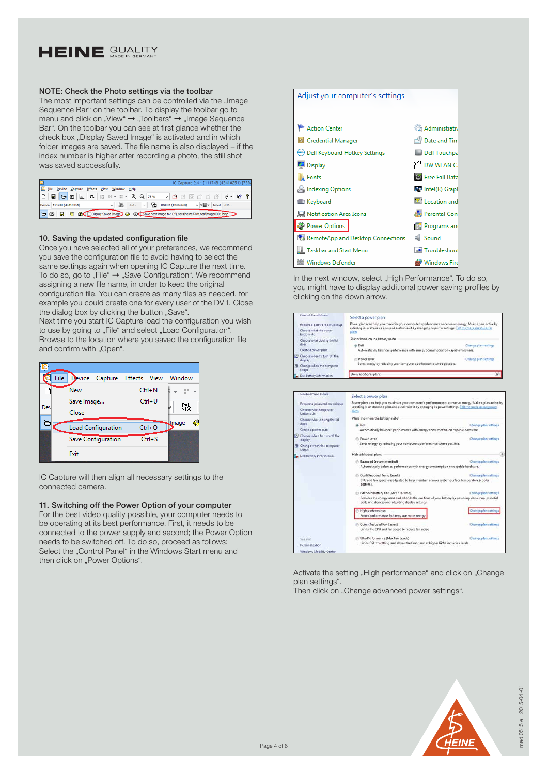

# NOTE: Check the Photo settings via the toolbar

The most important settings can be controlled via the "Image Sequence Bar" on the toolbar. To display the toolbar go to menu and click on "View" → "Toolbars" → "Image Sequence Bar". On the toolbar you can see at first glance whether the check box . Display Saved Image is activated and in which folder images are saved. The file name is also displayed – if the index number is higher after recording a photo, the still shot was saved successfully.

|                                                                                                      | IC Capture 2.4 - [111748 (43410251) [75%]           |
|------------------------------------------------------------------------------------------------------|-----------------------------------------------------|
| Ele Device Capture Effects View Window Help                                                          |                                                     |
|                                                                                                      |                                                     |
| Device 111748 (43410251)                                                                             | v 階 - NA - v B RGB32 (1280x960) v 1圖 - Input - NA - |
| <b>DE R</b> R Display Saved Image Co. C:\\Save next image to: C:\\Sers\\heine\Pictures\\mage0001.bmp |                                                     |

# 10. Saving the updated configuration file

Once you have selected all of your preferences, we recommend you save the configuration file to avoid having to select the same settings again when opening IC Capture the next time. To do so, go to "File"  $\rightarrow$  "Save Configuration". We recommend assigning a new file name, in order to keep the original configuration file. You can create as many files as needed, for example you could create one for every user of the DV1. Close the dialog box by clicking the button "Save".

Next time you start IC Capture load the configuration you wish to use by going to "File" and select "Load Configuration". Browse to the location where you saved the configuration file and confirm with "Open".



IC Capture will then align all necessary settings to the connected camera.

### 11. Switching off the Power Option of your computer

For the best video quality possible, your computer needs to be operating at its best performance. First, it needs to be connected to the power supply and second; the Power Option needs to be switched off. To do so, proceed as follows: Select the "Control Panel" in the Windows Start menu and then click on "Power Options".

| Adjust your computer's settings      |                           |  |  |  |  |
|--------------------------------------|---------------------------|--|--|--|--|
|                                      |                           |  |  |  |  |
| Action Center                        | Administrativ             |  |  |  |  |
| Credential Manager                   | Date and Tim              |  |  |  |  |
| ([644) Dell Keyboard Hotkey Settings | Dell Touchpa              |  |  |  |  |
| Display                              | 8 <sup>33</sup> DW WLAN C |  |  |  |  |
| <b>A</b> Fonts                       | <b>C</b> Free Fall Data   |  |  |  |  |
| Indexing Options                     | Intel(R) Graph            |  |  |  |  |
| <b>Explored</b> Keyboard             | Location and              |  |  |  |  |
| Notification Area Icons              | <b>A</b> Parental Con     |  |  |  |  |
| Power Options                        | <b>Programs</b> and       |  |  |  |  |
| RemoteApp and Desktop Connections    | <b>4</b> Sound            |  |  |  |  |
| <b>Taskbar and Start Menu</b>        | Troubleshoot              |  |  |  |  |
| Windows Defender                     | Windows Fire              |  |  |  |  |

In the next window, select "High Performance". To do so, you might have to display additional power saving profiles by clicking on the down arrow.

| <b>Control Panel Home</b>                          | Select a power plan                                                                                                                                  |                       |
|----------------------------------------------------|------------------------------------------------------------------------------------------------------------------------------------------------------|-----------------------|
| Require a password on wakeup                       | Power plans can help you maximize your computer's performance or conserve energy. Make a plan active by                                              |                       |
| Choose what the power<br>buttons do                | selecting it, or choose a plan and customize it by changing its power settings. Tell me more about power<br>plans                                    |                       |
| Choose what closing the lid                        | Plans shown on the battery meter                                                                                                                     |                       |
| does                                               | @ Dell                                                                                                                                               | Change plan settings  |
| Create a power plan                                | Automatically balances performance with energy consumption on capable hardware.                                                                      |                       |
| Choose when to turn off the<br>display             | Power saver                                                                                                                                          | Change plan settings  |
| Change when the computer<br>sleeps                 | Saves energy by reducing your computer's performance where possible.                                                                                 |                       |
| Dell Sattery Information                           | Show additional plans                                                                                                                                | v.                    |
| Control Panel Home<br>Require a password on wakeup | Select a power plan<br>Power plans can help you maximize your computer's performance or conserve energy. Make a plan active by                       |                       |
| Choose what the power<br>buttons do                | selecting it, or choose a plan and customize it by changing its power settings. Tell me more about power<br>plans                                    |                       |
| Choose what closing the lid                        | Plans shown on the battery meter                                                                                                                     |                       |
| does                                               | @ Dell                                                                                                                                               | Change plan settings  |
| Create a power plan.                               | Automatically balances performance with energy consumption on capable hardware.                                                                      |                       |
| Choose when to turn off the<br>display             | Fill Power saver                                                                                                                                     | Change plan settings  |
| Change when the computer<br>sleeps                 | Saves energy by reducing your computer's performance where possible.                                                                                 |                       |
| Dell Battery Information                           | Hide additional plans                                                                                                                                |                       |
|                                                    | Balanced (recommended)                                                                                                                               | Change plan settings. |
|                                                    | Automatically balances performance with energy consumption on capable hardware.                                                                      |                       |
|                                                    | Cool (Reduced Temp Levels)                                                                                                                           | Change plan settings  |
|                                                    | CPU and fan speed are adjusted to help maintain a lower system surface temperature (cooler<br>bottom).                                               |                       |
|                                                    | Extended Battery Life (Max run-time).                                                                                                                | Change plan settings  |
|                                                    | Reduces the energy used and extends the run time of your battery by powering down non-essential<br>ports and devices and adjusting display settings. |                       |
|                                                    | High performance                                                                                                                                     | hange plan settings   |
|                                                    | Favors performance, but may use more energy                                                                                                          |                       |
|                                                    | Cuiet (Reduced Fan Levels)                                                                                                                           | Change plan settings  |
|                                                    | Limits the CPU and fan speed to reduce fan noise.                                                                                                    |                       |
|                                                    |                                                                                                                                                      |                       |
|                                                    | Ultra Performance (Max Fan Levels)                                                                                                                   | Change plan settings  |
| Sake joked<br>Personalization                      | Limits CPU throttling and allows the fan to run at higher RPM and noise levels.                                                                      |                       |

Activate the setting "High performance" and click on "Change plan settings".

Then click on ..Change advanced power settings".

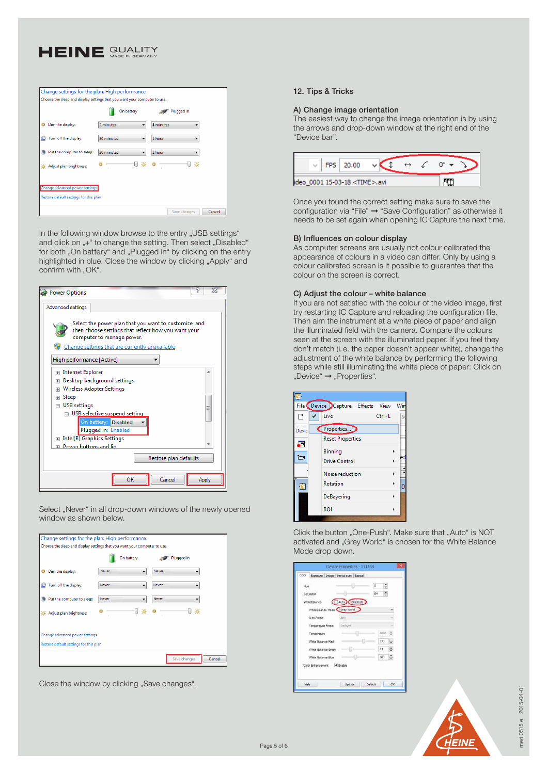

| Change settings for the plan: High performance                            |                 |                        |  |  |  |  |  |  |
|---------------------------------------------------------------------------|-----------------|------------------------|--|--|--|--|--|--|
| Choose the sleep and display settings that you want your computer to use. |                 |                        |  |  |  |  |  |  |
|                                                                           | On battery      | Plugged in             |  |  |  |  |  |  |
| Dim the display:                                                          | 2 minutes<br>۰  | 4 minutes              |  |  |  |  |  |  |
| Turn off the display:                                                     | 30 minutes<br>۰ | 1 hour<br>۰            |  |  |  |  |  |  |
| Put the computer to sleep:                                                | 30 minutes<br>۰ | 1 hour                 |  |  |  |  |  |  |
| Adjust plan brightness:                                                   | 漛               | 渶                      |  |  |  |  |  |  |
| Change advanced power settings                                            |                 |                        |  |  |  |  |  |  |
| Restore default settings for this plan                                    |                 |                        |  |  |  |  |  |  |
|                                                                           |                 | Save changes<br>Cancel |  |  |  |  |  |  |

In the following window browse to the entry "USB settings" and click on "+" to change the setting. Then select "Disabled" for both "On battery" and "Plugged in" by clicking on the entry highlighted in blue. Close the window by clicking "Apply" and confirm with "OK".



Select "Never" in all drop-down windows of the newly opened window as shown below.

| Change settings for the plan: High performance                            |              |                   |                   |        |
|---------------------------------------------------------------------------|--------------|-------------------|-------------------|--------|
| Choose the sleep and display settings that you want your computer to use. |              |                   |                   |        |
|                                                                           | On battery   |                   | <b>Plugged</b> in |        |
| Dim the display:                                                          | Never        | Never<br>۰        |                   |        |
| Turn off the display:<br>Θ                                                | <b>Never</b> | <b>Never</b><br>۰ |                   |        |
| Put the computer to sleep:                                                | <b>Never</b> | <b>Never</b><br>۰ | ▼                 |        |
| Adjust plan brightness:                                                   |              | 渶                 | 渶                 |        |
| Change advanced power settings                                            |              |                   |                   |        |
| Restore default settings for this plan                                    |              |                   |                   |        |
|                                                                           |              |                   | Save changes      | Cancel |

Close the window by clicking "Save changes".

## 12. Tips & Tricks

#### A) Change image orientation

The easiest way to change the image orientation is by using the arrows and drop-down window at the right end of the "Device bar".

| <b>FPS</b> | 20.00                           |  |  |  |
|------------|---------------------------------|--|--|--|
| lideo      | 0001 15-03-18 <time>.avi</time> |  |  |  |

Once you found the correct setting make sure to save the configuration via "File" ➞ "Save Configuration" as otherwise it needs to be set again when opening IC Capture the next time.

#### B) Influences on colour display

As computer screens are usually not colour calibrated the appearance of colours in a video can differ. Only by using a colour calibrated screen is it possible to guarantee that the colour on the screen is correct.

#### C) Adjust the colour – white balance

If you are not satisfied with the colour of the video image, first try restarting IC Capture and reloading the configuration file. Then aim the instrument at a white piece of paper and align the illuminated field with the camera. Compare the colours seen at the screen with the illuminated paper. If you feel they don't match (i.e. the paper doesn't appear white), change the adjustment of the white balance by performing the following steps while still illuminating the white piece of paper: Click on "Device"  $\rightarrow$  "Properties".

|       | File Device Capture Effects View |            | Win |
|-------|----------------------------------|------------|-----|
| η     | Live                             | $Ctrl + L$ | B١  |
| Devic | Properties                       |            |     |
| a     | <b>Reset Properties</b>          |            |     |
|       | Binning                          |            |     |
| ь     | Drive Control                    |            | ed  |
|       | Noise reduction                  |            |     |
|       | Rotation                         |            | n   |
|       | DeBayering                       |            |     |
|       | <b>ROI</b>                       |            |     |
|       |                                  |            |     |

Click the button "One-Push". Make sure that "Auto" is NOT activated and "Grey World" is chosen for the White Balance Mode drop down.

| Color Exposure Dnage Partisiscan Special |                               |   |    |      |                          |
|------------------------------------------|-------------------------------|---|----|------|--------------------------|
| Hue                                      |                               |   | 0  | ÷    |                          |
| Saturation                               |                               |   | 64 | ÷    |                          |
| WhiteBalance.                            | Auto ConePush                 |   |    |      |                          |
|                                          | WhiteBalance Mode Carey World |   |    |      | $\overline{\phantom{a}}$ |
| Auto-Preset                              | Arry.                         |   |    |      |                          |
| Temperature Preset                       | Daybglott                     |   |    |      | ٠                        |
| Temperature                              |                               |   |    | 6000 |                          |
| White Balance Red                        |                               |   |    | 173  | ٠                        |
| White Balance Green                      |                               |   |    | 64   | ÷                        |
| White Balance Blue                       |                               | o |    | 103  | ÷                        |
| Color Enhancement V Enable               |                               |   |    |      |                          |